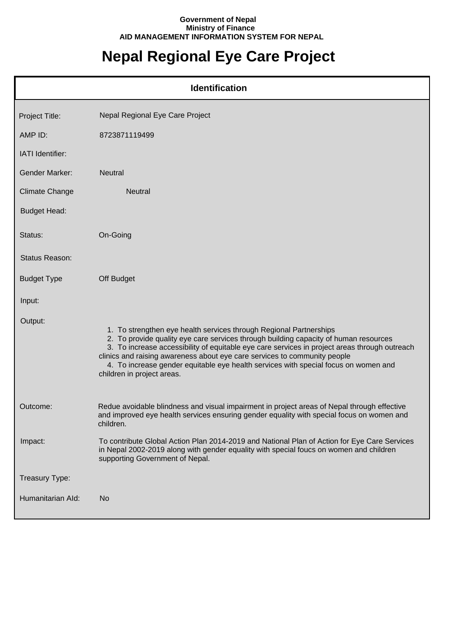## **Government of Nepal Ministry of Finance AID MANAGEMENT INFORMATION SYSTEM FOR NEPAL**

## **Nepal Regional Eye Care Project**

| <b>Identification</b> |                                                                                                                                                                                                                                                                                                                                                                                                                                                               |  |
|-----------------------|---------------------------------------------------------------------------------------------------------------------------------------------------------------------------------------------------------------------------------------------------------------------------------------------------------------------------------------------------------------------------------------------------------------------------------------------------------------|--|
| Project Title:        | Nepal Regional Eye Care Project                                                                                                                                                                                                                                                                                                                                                                                                                               |  |
| AMP ID:               | 8723871119499                                                                                                                                                                                                                                                                                                                                                                                                                                                 |  |
| IATI Identifier:      |                                                                                                                                                                                                                                                                                                                                                                                                                                                               |  |
| Gender Marker:        | <b>Neutral</b>                                                                                                                                                                                                                                                                                                                                                                                                                                                |  |
| <b>Climate Change</b> | Neutral                                                                                                                                                                                                                                                                                                                                                                                                                                                       |  |
| <b>Budget Head:</b>   |                                                                                                                                                                                                                                                                                                                                                                                                                                                               |  |
| Status:               | On-Going                                                                                                                                                                                                                                                                                                                                                                                                                                                      |  |
| <b>Status Reason:</b> |                                                                                                                                                                                                                                                                                                                                                                                                                                                               |  |
| <b>Budget Type</b>    | Off Budget                                                                                                                                                                                                                                                                                                                                                                                                                                                    |  |
| Input:                |                                                                                                                                                                                                                                                                                                                                                                                                                                                               |  |
| Output:               | 1. To strengthen eye health services through Regional Partnerships<br>2. To provide quality eye care services through building capacity of human resources<br>3. To increase accessibility of equitable eye care services in project areas through outreach<br>clinics and raising awareness about eye care services to community people<br>4. To increase gender equitable eye health services with special focus on women and<br>children in project areas. |  |
| Outcome:              | Redue avoidable blindness and visual impairment in project areas of Nepal through effective<br>and improved eye health services ensuring gender equality with special focus on women and<br>children.                                                                                                                                                                                                                                                         |  |
| Impact:               | To contribute Global Action Plan 2014-2019 and National Plan of Action for Eye Care Services<br>in Nepal 2002-2019 along with gender equality with special foucs on women and children<br>supporting Government of Nepal.                                                                                                                                                                                                                                     |  |
| Treasury Type:        |                                                                                                                                                                                                                                                                                                                                                                                                                                                               |  |
| Humanitarian Ald:     | N <sub>o</sub>                                                                                                                                                                                                                                                                                                                                                                                                                                                |  |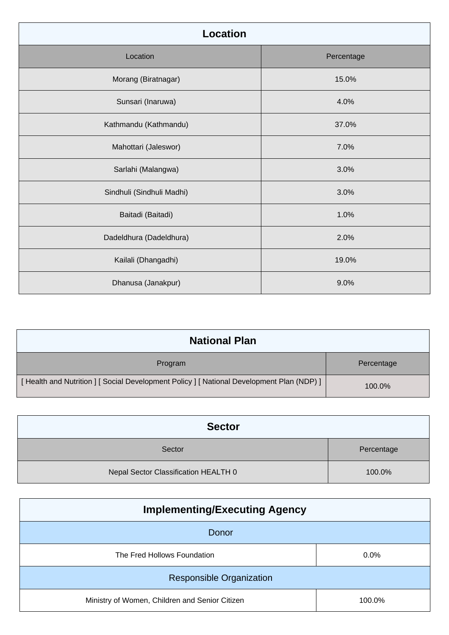| <b>Location</b>           |            |
|---------------------------|------------|
| Location                  | Percentage |
| Morang (Biratnagar)       | 15.0%      |
| Sunsari (Inaruwa)         | 4.0%       |
| Kathmandu (Kathmandu)     | 37.0%      |
| Mahottari (Jaleswor)      | 7.0%       |
| Sarlahi (Malangwa)        | 3.0%       |
| Sindhuli (Sindhuli Madhi) | 3.0%       |
| Baitadi (Baitadi)         | 1.0%       |
| Dadeldhura (Dadeldhura)   | 2.0%       |
| Kailali (Dhangadhi)       | 19.0%      |
| Dhanusa (Janakpur)        | 9.0%       |

| <b>National Plan</b>                                                                      |            |
|-------------------------------------------------------------------------------------------|------------|
| Program                                                                                   | Percentage |
| [Health and Nutrition ] [ Social Development Policy ] [ National Development Plan (NDP) ] | 100.0%     |

| <b>Sector</b>                        |            |
|--------------------------------------|------------|
| Sector                               | Percentage |
| Nepal Sector Classification HEALTH 0 | 100.0%     |

| <b>Implementing/Executing Agency</b>           |         |
|------------------------------------------------|---------|
| Donor                                          |         |
| The Fred Hollows Foundation                    | $0.0\%$ |
| <b>Responsible Organization</b>                |         |
| Ministry of Women, Children and Senior Citizen | 100.0%  |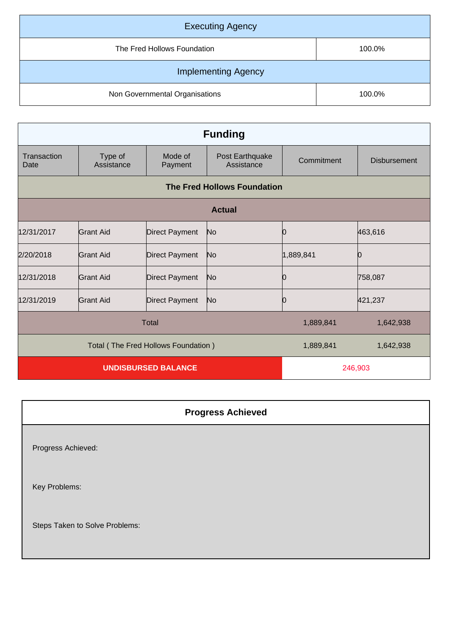| <b>Executing Agency</b>        |        |  |
|--------------------------------|--------|--|
| The Fred Hollows Foundation    | 100.0% |  |
| <b>Implementing Agency</b>     |        |  |
| Non Governmental Organisations | 100.0% |  |

| <b>Funding</b>                  |                                     |                       |                               |            |                     |
|---------------------------------|-------------------------------------|-----------------------|-------------------------------|------------|---------------------|
| Transaction<br>Date             | Type of<br>Assistance               | Mode of<br>Payment    | Post Earthquake<br>Assistance | Commitment | <b>Disbursement</b> |
|                                 | <b>The Fred Hollows Foundation</b>  |                       |                               |            |                     |
|                                 |                                     |                       | <b>Actual</b>                 |            |                     |
| 12/31/2017                      | <b>Grant Aid</b>                    | <b>Direct Payment</b> | No                            | 0          | 463,616             |
| 2/20/2018                       | Grant Aid                           | Direct Payment        | N <sub>o</sub>                | 1,889,841  | Ŋ                   |
| 12/31/2018                      | Grant Aid                           | <b>Direct Payment</b> | No.                           |            | 758,087             |
| 12/31/2019                      | Grant Aid                           | <b>Direct Payment</b> | No                            | Ю          | 421,237             |
| Total<br>1,889,841<br>1,642,938 |                                     |                       |                               |            |                     |
|                                 | Total (The Fred Hollows Foundation) |                       |                               | 1,889,841  | 1,642,938           |
| <b>UNDISBURSED BALANCE</b>      |                                     |                       | 246,903                       |            |                     |

| <b>Progress Achieved</b>       |  |
|--------------------------------|--|
| Progress Achieved:             |  |
| Key Problems:                  |  |
| Steps Taken to Solve Problems: |  |